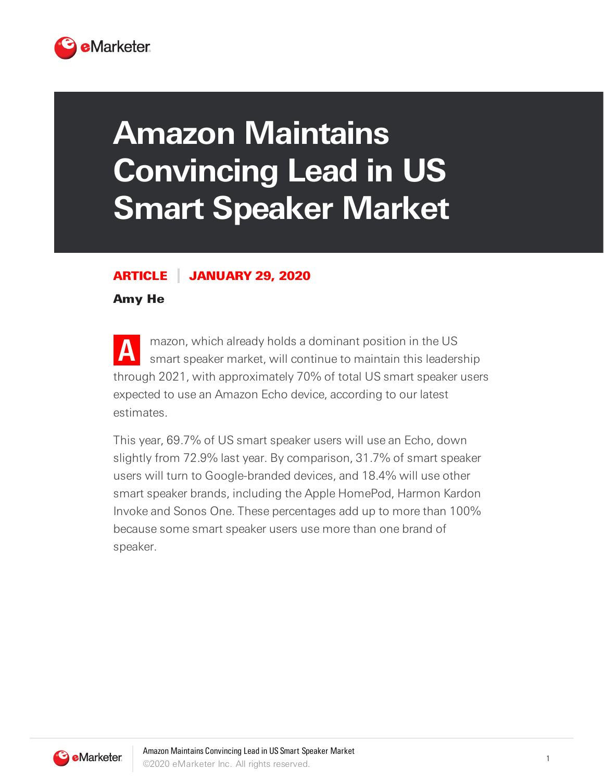

## **Amazon Maintains Convincing Lead in US Smart Speaker Market**

## ARTICLE JANUARY 29, 2020

Amy He

**A** mazon, which already holds a dominant position in the US smart speaker market, will continue to maintain this leadership through 2021, with approximately 70% of total US smart speaker users expected to use an Amazon Echo device, according to our latest estimates.

This year, 69.7% of US smart speaker users will use an Echo, down slightly from 72.9% last year. By comparison, 31.7% of smart speaker users will turn to Google-branded devices, and 18.4% will use other smart speaker brands, including the Apple HomePod, Harmon Kardon Invoke and Sonos One. These percentages add up to more than 100% because some smart speaker users use more than one brand of speaker.

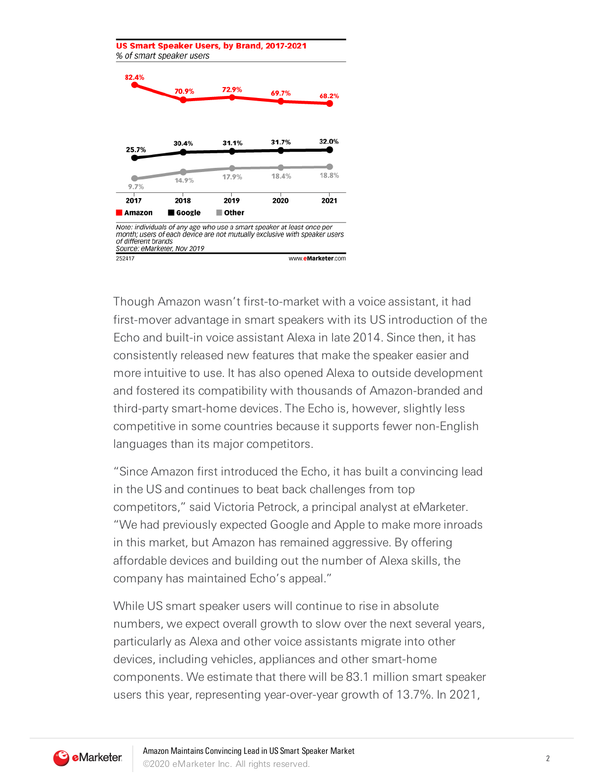

Though Amazon wasn't first-to-market with a voice assistant, it had first-mover advantage in smart speakers with its US introduction of the Echo and built-in voice assistant Alexa in late 2014. Since then, it has consistently released new features that make the speaker easier and more intuitive to use. It has also opened Alexa to outside development and fostered its compatibility with thousands of Amazon-branded and third-party smart-home devices. The Echo is, however, slightly less competitive in some countries because it supports fewer non-English languages than its major competitors.

"Since Amazon first introduced the Echo, it has built a convincing lead in the US and continues to beat back challenges from top competitors," said Victoria Petrock, a principal analyst at eMarketer. "We had previously expected Google and Apple to make more inroads in this market, but Amazon has remained aggressive. By offering affordable devices and building out the number of Alexa skills, the company has maintained Echo's appeal."

While US smart speaker users will continue to rise in absolute numbers, we expect overall growth to slow over the next several years, particularly as Alexa and other voice assistants migrate into other devices, including vehicles, appliances and other smart-home components. We estimate that there will be 83.1 million smart speaker users this year, representing year-over-year growth of 13.7%. In 2021,